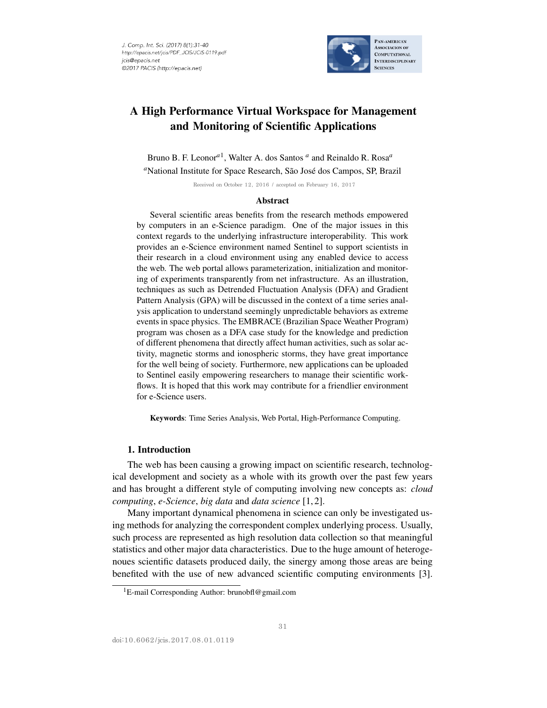

# A High Performance Virtual Workspace for Management and Monitoring of Scientific Applications

Bruno B. F. Leonor*a*<sup>1</sup> , Walter A. dos Santos *<sup>a</sup>* and Reinaldo R. Rosa*<sup>a</sup>* <sup>a</sup>National Institute for Space Research, São José dos Campos, SP, Brazil

Received on October 12, 2016 / accepted on February 16, 2017

#### **Abstract**

Several scientific areas benefits from the research methods empowered by computers in an e-Science paradigm. One of the major issues in this context regards to the underlying infrastructure interoperability. This work provides an e-Science environment named Sentinel to support scientists in their research in a cloud environment using any enabled device to access the web. The web portal allows parameterization, initialization and monitoring of experiments transparently from net infrastructure. As an illustration, techniques as such as Detrended Fluctuation Analysis (DFA) and Gradient Pattern Analysis (GPA) will be discussed in the context of a time series analysis application to understand seemingly unpredictable behaviors as extreme events in space physics. The EMBRACE (Brazilian Space Weather Program) program was chosen as a DFA case study for the knowledge and prediction of different phenomena that directly affect human activities, such as solar activity, magnetic storms and ionospheric storms, they have great importance for the well being of society. Furthermore, new applications can be uploaded to Sentinel easily empowering researchers to manage their scientific workflows. It is hoped that this work may contribute for a friendlier environment for e-Science users.

Keywords: Time Series Analysis, Web Portal, High-Performance Computing.

## 1. Introduction

The web has been causing a growing impact on scientific research, technological development and society as a whole with its growth over the past few years and has brought a different style of computing involving new concepts as: *cloud computing*, *e-Science*, *big data* and *data science* [1, 2].

Many important dynamical phenomena in science can only be investigated using methods for analyzing the correspondent complex underlying process. Usually, such process are represented as high resolution data collection so that meaningful statistics and other major data characteristics. Due to the huge amount of heterogenoues scientific datasets produced daily, the sinergy among those areas are being benefited with the use of new advanced scientific computing environments [3].

<sup>&</sup>lt;sup>1</sup>E-mail Corresponding Author: brunobfl@gmail.com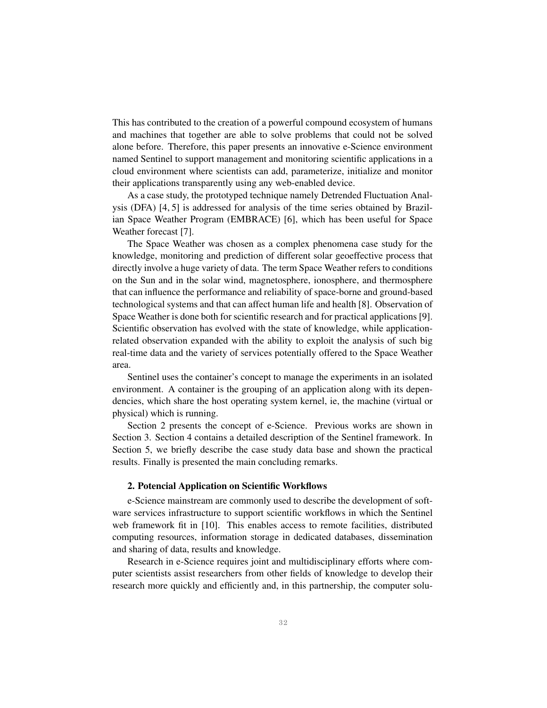This has contributed to the creation of a powerful compound ecosystem of humans and machines that together are able to solve problems that could not be solved alone before. Therefore, this paper presents an innovative e-Science environment named Sentinel to support management and monitoring scientific applications in a cloud environment where scientists can add, parameterize, initialize and monitor their applications transparently using any web-enabled device.

As a case study, the prototyped technique namely Detrended Fluctuation Analysis (DFA) [4, 5] is addressed for analysis of the time series obtained by Brazilian Space Weather Program (EMBRACE) [6], which has been useful for Space Weather forecast [7].

The Space Weather was chosen as a complex phenomena case study for the knowledge, monitoring and prediction of different solar geoeffective process that directly involve a huge variety of data. The term Space Weather refers to conditions on the Sun and in the solar wind, magnetosphere, ionosphere, and thermosphere that can influence the performance and reliability of space-borne and ground-based technological systems and that can affect human life and health [8]. Observation of Space Weather is done both for scientific research and for practical applications [9]. Scientific observation has evolved with the state of knowledge, while applicationrelated observation expanded with the ability to exploit the analysis of such big real-time data and the variety of services potentially offered to the Space Weather area.

Sentinel uses the container's concept to manage the experiments in an isolated environment. A container is the grouping of an application along with its dependencies, which share the host operating system kernel, ie, the machine (virtual or physical) which is running.

Section 2 presents the concept of e-Science. Previous works are shown in Section 3. Section 4 contains a detailed description of the Sentinel framework. In Section 5, we briefly describe the case study data base and shown the practical results. Finally is presented the main concluding remarks.

### 2. Potencial Application on Scientific Workflows

e-Science mainstream are commonly used to describe the development of software services infrastructure to support scientific workflows in which the Sentinel web framework fit in [10]. This enables access to remote facilities, distributed computing resources, information storage in dedicated databases, dissemination and sharing of data, results and knowledge.

Research in e-Science requires joint and multidisciplinary efforts where computer scientists assist researchers from other fields of knowledge to develop their research more quickly and efficiently and, in this partnership, the computer solu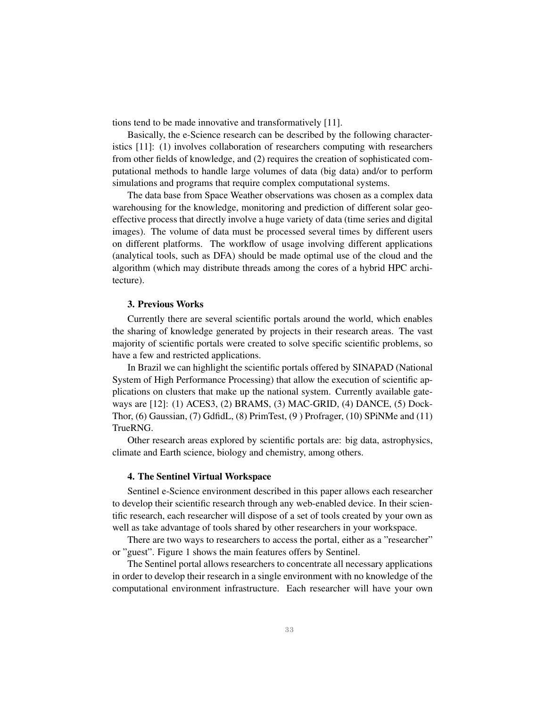tions tend to be made innovative and transformatively [11].

Basically, the e-Science research can be described by the following characteristics [11]: (1) involves collaboration of researchers computing with researchers from other fields of knowledge, and (2) requires the creation of sophisticated computational methods to handle large volumes of data (big data) and/or to perform simulations and programs that require complex computational systems.

The data base from Space Weather observations was chosen as a complex data warehousing for the knowledge, monitoring and prediction of different solar geoeffective process that directly involve a huge variety of data (time series and digital images). The volume of data must be processed several times by different users on different platforms. The workflow of usage involving different applications (analytical tools, such as DFA) should be made optimal use of the cloud and the algorithm (which may distribute threads among the cores of a hybrid HPC architecture).

### 3. Previous Works

Currently there are several scientific portals around the world, which enables the sharing of knowledge generated by projects in their research areas. The vast majority of scientific portals were created to solve specific scientific problems, so have a few and restricted applications.

In Brazil we can highlight the scientific portals offered by SINAPAD (National System of High Performance Processing) that allow the execution of scientific applications on clusters that make up the national system. Currently available gateways are [12]: (1) ACES3, (2) BRAMS, (3) MAC-GRID, (4) DANCE, (5) Dock-Thor, (6) Gaussian, (7) GdfidL, (8) PrimTest, (9 ) Profrager, (10) SPiNMe and (11) TrueRNG.

Other research areas explored by scientific portals are: big data, astrophysics, climate and Earth science, biology and chemistry, among others.

### 4. The Sentinel Virtual Workspace

Sentinel e-Science environment described in this paper allows each researcher to develop their scientific research through any web-enabled device. In their scientific research, each researcher will dispose of a set of tools created by your own as well as take advantage of tools shared by other researchers in your workspace.

There are two ways to researchers to access the portal, either as a "researcher" or "guest". Figure 1 shows the main features offers by Sentinel.

The Sentinel portal allows researchers to concentrate all necessary applications in order to develop their research in a single environment with no knowledge of the computational environment infrastructure. Each researcher will have your own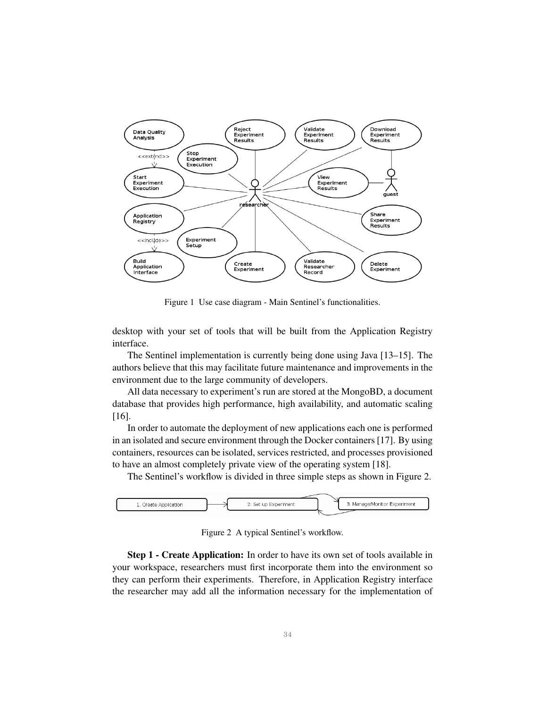

Figure 1 Use case diagram - Main Sentinel's functionalities.

desktop with your set of tools that will be built from the Application Registry interface.

The Sentinel implementation is currently being done using Java [13–15]. The authors believe that this may facilitate future maintenance and improvements in the environment due to the large community of developers.

All data necessary to experiment's run are stored at the MongoBD, a document database that provides high performance, high availability, and automatic scaling [16].

In order to automate the deployment of new applications each one is performed in an isolated and secure environment through the Docker containers [17]. By using containers, resources can be isolated, services restricted, and processes provisioned to have an almost completely private view of the operating system [18].

The Sentinel's workflow is divided in three simple steps as shown in Figure 2.



Figure 2 A typical Sentinel's workflow.

Step 1 - Create Application: In order to have its own set of tools available in your workspace, researchers must first incorporate them into the environment so they can perform their experiments. Therefore, in Application Registry interface the researcher may add all the information necessary for the implementation of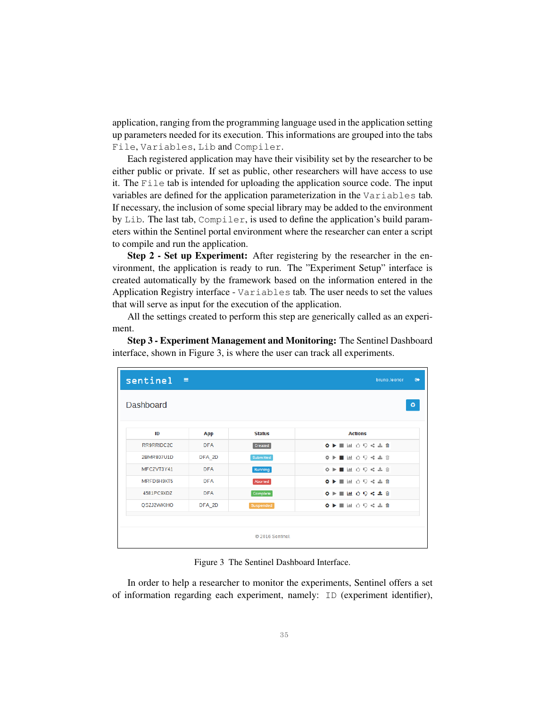application, ranging from the programming language used in the application setting up parameters needed for its execution. This informations are grouped into the tabs File, Variables, Lib and Compiler.

Each registered application may have their visibility set by the researcher to be either public or private. If set as public, other researchers will have access to use it. The File tab is intended for uploading the application source code. The input variables are defined for the application parameterization in the Variables tab. If necessary, the inclusion of some special library may be added to the environment by Lib. The last tab, Compiler, is used to define the application's build parameters within the Sentinel portal environment where the researcher can enter a script to compile and run the application.

Step 2 - Set up Experiment: After registering by the researcher in the environment, the application is ready to run. The "Experiment Setup" interface is created automatically by the framework based on the information entered in the Application Registry interface - Variables tab. The user needs to set the values that will serve as input for the execution of the application.

All the settings created to perform this step are generically called as an experiment.

Step 3 - Experiment Management and Monitoring: The Sentinel Dashboard interface, shown in Figure 3, is where the user can track all experiments.

| sentinel $\equiv$ |            |                  | $\bullet$<br>bruno.leonor   |
|-------------------|------------|------------------|-----------------------------|
| <b>Dashboard</b>  |            |                  | ۰                           |
| ID                | App        | <b>Status</b>    | <b>Actions</b>              |
| RR9RRIDC2C        | <b>DFA</b> | Created          | ◆▶■国〇〇<左自                   |
| 2BMR807U1D        | DFA_2D     | Submitted        | ※▶■国的草崎志自                   |
| MFCZVT3Y41        | <b>DFA</b> | Running          | ※▶■国的皇崎嘉亩                   |
| MRFD6H9XT5        | <b>DFA</b> | Aborted          | <b>O ▶ ■ Ⅲ 〇 〇 &lt; 소 自</b> |
| 4581PC9XDZ        | <b>DFA</b> | Complete         | ◆▶■困 ○ ♀ < ± 自              |
| QSZJ2WKIHO        | DFA_2D     | Suspended        | ◆▶■国 〇〇 << 土自               |
|                   |            |                  |                             |
|                   |            | C 2016 Sentinel. |                             |

Figure 3 The Sentinel Dashboard Interface.

In order to help a researcher to monitor the experiments, Sentinel offers a set of information regarding each experiment, namely: ID (experiment identifier),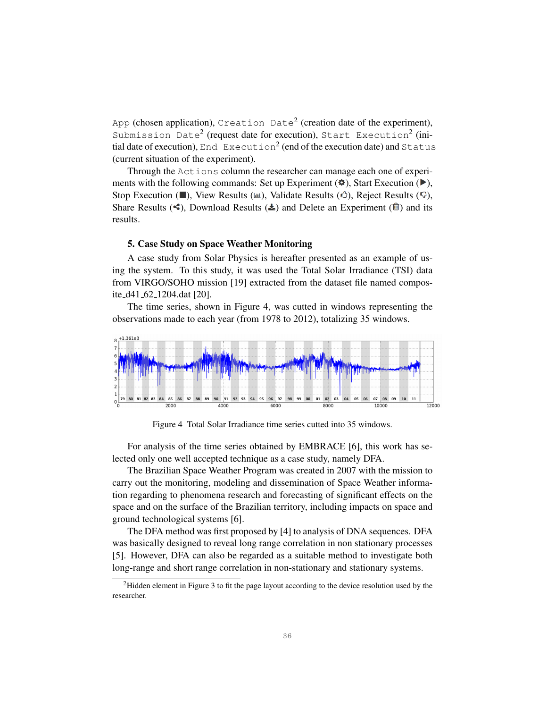App (chosen application), Creation Date<sup>2</sup> (creation date of the experiment), Submission Date<sup>2</sup> (request date for execution), Start Execution<sup>2</sup> (initial date of execution), End Execution<sup>2</sup> (end of the execution date) and Status (current situation of the experiment).

Through the Actions column the researcher can manage each one of experiments with the following commands: Set up Experiment  $(\bullet)$ , Start Execution ( $\bullet$ ), Stop Execution ( $\blacksquare$ ), View Results ( $\blacksquare$ ), Validate Results ( $\lozenge$ ), Reject Results ( $\lozenge$ ), Share Results ( $\leq$ ), Download Results ( $\geq$ ) and Delete an Experiment ( $\stackrel{\frown}{\Box}$ ) and its results.

#### 5. Case Study on Space Weather Monitoring

A case study from Solar Physics is hereafter presented as an example of using the system. To this study, it was used the Total Solar Irradiance (TSI) data from VIRGO/SOHO mission [19] extracted from the dataset file named composite d41 62 1204.dat [20].

The time series, shown in Figure 4, was cutted in windows representing the observations made to each year (from 1978 to 2012), totalizing 35 windows.



Figure 4 Total Solar Irradiance time series cutted into 35 windows.

For analysis of the time series obtained by EMBRACE [6], this work has selected only one well accepted technique as a case study, namely DFA.

The Brazilian Space Weather Program was created in 2007 with the mission to carry out the monitoring, modeling and dissemination of Space Weather information regarding to phenomena research and forecasting of significant effects on the space and on the surface of the Brazilian territory, including impacts on space and ground technological systems [6].

The DFA method was first proposed by [4] to analysis of DNA sequences. DFA was basically designed to reveal long range correlation in non stationary processes [5]. However, DFA can also be regarded as a suitable method to investigate both long-range and short range correlation in non-stationary and stationary systems.

<sup>2</sup>Hidden element in Figure 3 to fit the page layout according to the device resolution used by the researcher.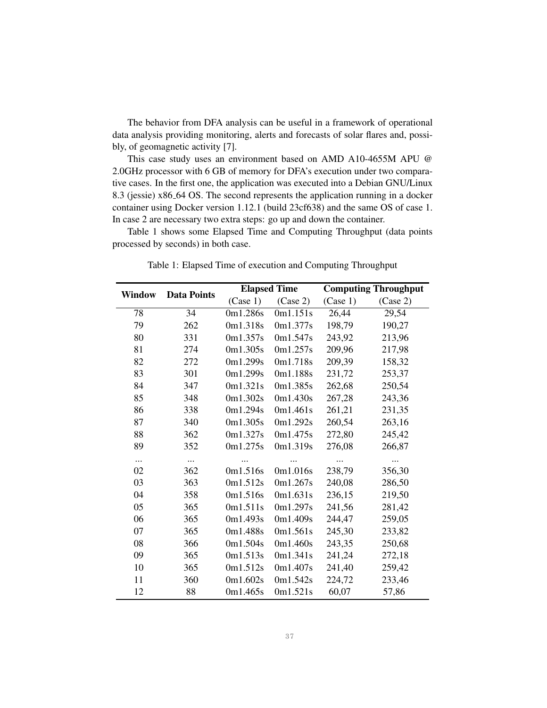The behavior from DFA analysis can be useful in a framework of operational data analysis providing monitoring, alerts and forecasts of solar flares and, possibly, of geomagnetic activity [7].

This case study uses an environment based on AMD A10-4655M APU @ 2.0GHz processor with 6 GB of memory for DFA's execution under two comparative cases. In the first one, the application was executed into a Debian GNU/Linux 8.3 (jessie) x86 64 OS. The second represents the application running in a docker container using Docker version 1.12.1 (build 23cf638) and the same OS of case 1. In case 2 are necessary two extra steps: go up and down the container.

Table 1 shows some Elapsed Time and Computing Throughput (data points processed by seconds) in both case.

| <b>Window</b> | <b>Data Points</b> | <b>Elapsed Time</b> |          | <b>Computing Throughput</b> |                    |
|---------------|--------------------|---------------------|----------|-----------------------------|--------------------|
|               |                    | (Case 1)            | (Case 2) | (Case 1)                    | (Case 2)           |
| 78            | 34                 | 0m1.286s            | 0m1.151s | 26,44                       | $\overline{29,54}$ |
| 79            | 262                | 0m1.318s            | 0m1.377s | 198,79                      | 190,27             |
| 80            | 331                | 0m1.357s            | 0m1.547s | 243,92                      | 213,96             |
| 81            | 274                | 0m1.305s            | 0m1.257s | 209,96                      | 217,98             |
| 82            | 272                | 0m1.299s            | 0m1.718s | 209,39                      | 158,32             |
| 83            | 301                | 0m1.299s            | 0m1.188s | 231,72                      | 253,37             |
| 84            | 347                | 0m1.321s            | 0m1.385s | 262,68                      | 250,54             |
| 85            | 348                | 0m1.302s            | 0m1.430s | 267,28                      | 243,36             |
| 86            | 338                | 0m1.294s            | 0m1.461s | 261,21                      | 231,35             |
| 87            | 340                | 0m1.305s            | 0m1.292s | 260,54                      | 263,16             |
| 88            | 362                | 0m1.327s            | 0m1.475s | 272,80                      | 245,42             |
| 89            | 352                | 0m1.275s            | 0m1.319s | 276,08                      | 266,87             |
| $\cdots$      | $\cdots$           |                     |          |                             |                    |
| 02            | 362                | 0m1.516s            | 0m1.016s | 238,79                      | 356,30             |
| 03            | 363                | 0m1.512s            | 0m1.267s | 240,08                      | 286,50             |
| 04            | 358                | 0m1.516s            | 0m1.631s | 236,15                      | 219,50             |
| 05            | 365                | 0m1.511s            | 0m1.297s | 241,56                      | 281,42             |
| 06            | 365                | 0m1.493s            | 0m1.409s | 244,47                      | 259,05             |
| 07            | 365                | 0m1.488s            | 0m1.561s | 245,30                      | 233,82             |
| 08            | 366                | 0m1.504s            | 0m1.460s | 243,35                      | 250,68             |
| 09            | 365                | 0m1.513s            | 0m1.341s | 241,24                      | 272,18             |
| 10            | 365                | 0m1.512s            | 0m1.407s | 241,40                      | 259,42             |
| 11            | 360                | 0m1.602s            | 0m1.542s | 224,72                      | 233,46             |
| 12            | 88                 | 0m1.465s            | 0m1.521s | 60,07                       | 57,86              |

Table 1: Elapsed Time of execution and Computing Throughput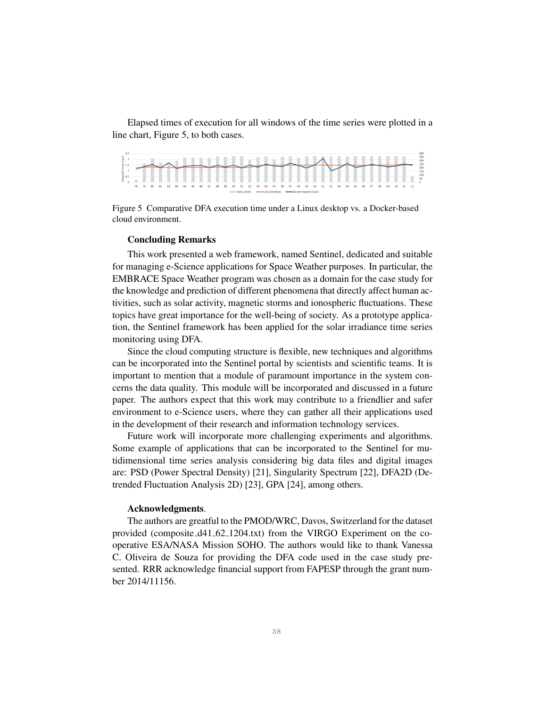Elapsed times of execution for all windows of the time series were plotted in a line chart, Figure 5, to both cases.



Figure 5 Comparative DFA execution time under a Linux desktop vs. a Docker-based cloud environment.

#### Concluding Remarks

This work presented a web framework, named Sentinel, dedicated and suitable for managing e-Science applications for Space Weather purposes. In particular, the EMBRACE Space Weather program was chosen as a domain for the case study for the knowledge and prediction of different phenomena that directly affect human activities, such as solar activity, magnetic storms and ionospheric fluctuations. These topics have great importance for the well-being of society. As a prototype application, the Sentinel framework has been applied for the solar irradiance time series monitoring using DFA.

Since the cloud computing structure is flexible, new techniques and algorithms can be incorporated into the Sentinel portal by scientists and scientific teams. It is important to mention that a module of paramount importance in the system concerns the data quality. This module will be incorporated and discussed in a future paper. The authors expect that this work may contribute to a friendlier and safer environment to e-Science users, where they can gather all their applications used in the development of their research and information technology services.

Future work will incorporate more challenging experiments and algorithms. Some example of applications that can be incorporated to the Sentinel for mutidimensional time series analysis considering big data files and digital images are: PSD (Power Spectral Density) [21], Singularity Spectrum [22], DFA2D (Detrended Fluctuation Analysis 2D) [23], GPA [24], among others.

#### Acknowledgments.

The authors are greatful to the PMOD/WRC, Davos, Switzerland for the dataset provided (composite d41 62 1204.txt) from the VIRGO Experiment on the cooperative ESA/NASA Mission SOHO. The authors would like to thank Vanessa C. Oliveira de Souza for providing the DFA code used in the case study presented. RRR acknowledge financial support from FAPESP through the grant number 2014/11156.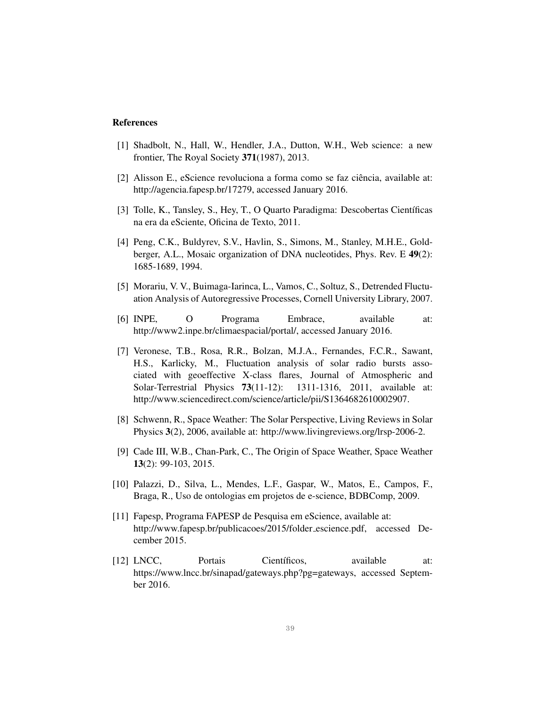## References

- [1] Shadbolt, N., Hall, W., Hendler, J.A., Dutton, W.H., Web science: a new frontier, The Royal Society 371(1987), 2013.
- [2] Alisson E., eScience revoluciona a forma como se faz ciência, available at: http://agencia.fapesp.br/17279, accessed January 2016.
- [3] Tolle, K., Tansley, S., Hey, T., O Quarto Paradigma: Descobertas Científicas na era da eSciente, Oficina de Texto, 2011.
- [4] Peng, C.K., Buldyrev, S.V., Havlin, S., Simons, M., Stanley, M.H.E., Goldberger, A.L., Mosaic organization of DNA nucleotides, Phys. Rev. E 49(2): 1685-1689, 1994.
- [5] Morariu, V. V., Buimaga-Iarinca, L., Vamos, C., Soltuz, S., Detrended Fluctuation Analysis of Autoregressive Processes, Cornell University Library, 2007.
- [6] INPE, O Programa Embrace, available at: http://www2.inpe.br/climaespacial/portal/, accessed January 2016.
- [7] Veronese, T.B., Rosa, R.R., Bolzan, M.J.A., Fernandes, F.C.R., Sawant, H.S., Karlicky, M., Fluctuation analysis of solar radio bursts associated with geoeffective X-class flares, Journal of Atmospheric and Solar-Terrestrial Physics 73(11-12): 1311-1316, 2011, available at: http://www.sciencedirect.com/science/article/pii/S1364682610002907.
- [8] Schwenn, R., Space Weather: The Solar Perspective, Living Reviews in Solar Physics 3(2), 2006, available at: http://www.livingreviews.org/lrsp-2006-2.
- [9] Cade III, W.B., Chan-Park, C., The Origin of Space Weather, Space Weather 13(2): 99-103, 2015.
- [10] Palazzi, D., Silva, L., Mendes, L.F., Gaspar, W., Matos, E., Campos, F., Braga, R., Uso de ontologias em projetos de e-science, BDBComp, 2009.
- [11] Fapesp, Programa FAPESP de Pesquisa em eScience, available at: http://www.fapesp.br/publicacoes/2015/folder escience.pdf, accessed December 2015.
- [12] LNCC, Portais Científicos, available at: https://www.lncc.br/sinapad/gateways.php?pg=gateways, accessed September 2016.